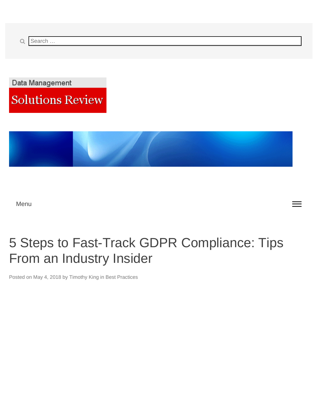<span id="page-0-0"></span>Data Management

**Solutions Review** 



Menu

# 5 Steps to Fast-Track GDPR Compliance: Tips From an Industry Insider

Posted on [May 4, 2018](#page-0-0) by Timothy King in Best Practices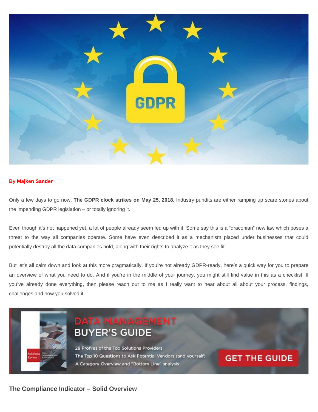

# **By Majken Sander**

Only a few days to go now. **The GDPR clock strikes on May 25, 2018.** Industry pundits are either ramping up scare stories about the impending GDPR legislation – or totally ignoring it.

Even though it's not happened yet, a lot of people already seem fed up with it. Some say this is a "draconian" new law which poses a threat to the way all companies operate. Some have even described it as a mechanism placed under businesses that could potentially destroy all the data companies hold, along with their rights to analyze it as they see fit.

But let's all calm down and look at this more pragmatically. If you're not already GDPR-ready, here's a quick way for you to prepare an overview of what you need to do. And if you're in the middle of your journey, you might still find value in this as a checklist. If you've already done everything, then please reach out to me as I really want to hear about all about your process, findings, challenges and how you solved it.

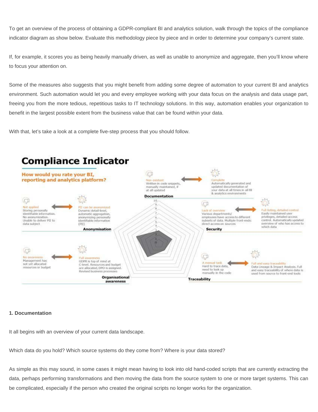To get an overview of the process of obtaining a GDPR-compliant BI and analytics solution, walk through the topics of the compliance indicator diagram as show below. Evaluate this methodology piece by piece and in order to determine your company's current state.

If, for example, it scores you as being heavily manually driven, as well as unable to anonymize and aggregate, then you'll know where to focus your attention on.

Some of the measures also suggests that you might benefit from adding some degree of automation to your current BI and analytics environment. Such automation would let you and every employee working with your data focus on the analysis and data usage part, freeing you from the more tedious, repetitious tasks to IT technology solutions. In this way, automation enables your organization to benefit in the largest possible extent from the business value that can be found within your data.

With that, let's take a look at a complete five-step process that you should follow.



# **1. Documentation**

It all begins with an overview of your current data landscape.

Which data do you hold? Which source systems do they come from? Where is your data stored?

As simple as this may sound, in some cases it might mean having to look into old hand-coded scripts that are currently extracting the data, perhaps performing transformations and then moving the data from the source system to one or more target systems. This can be complicated, especially if the person who created the original scripts no longer works for the organization.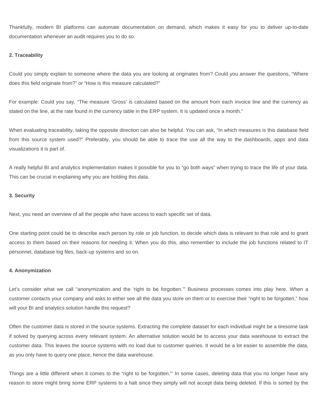Thankfully, modern BI platforms can automate documentation on demand, which makes it easy for you to deliver up-to-date documentation whenever an audit requires you to do so.

#### **2. Traceability**

Could you simply explain to someone where the data you are looking at originates from? Could you answer the questions, "Where does this field originate from?" or "How is this measure calculated?"

For example: Could you say, "The measure 'Gross' is calculated based on the amount from each invoice line and the currency as stated on the line, at the rate found in the currency table in the ERP system. It is updated once a month."

When evaluating traceability, taking the opposite direction can also be helpful. You can ask, "In which measures is this database field from this source system used?" Preferably, you should be able to trace the use all the way to the dashboards, apps and data visualizations it is part of.

A really helpful BI and analytics implementation makes it possible for you to "go both ways" when trying to trace the life of your data. This can be crucial in explaining why you are holding this data.

#### **3. Security**

Next, you need an overview of all the people who have access to each specific set of data.

One starting point could be to describe each person by role or job function, to decide which data is relevant to that role and to grant access to them based on their reasons for needing it. When you do this, also remember to include the job functions related to IT personnel, database log files, back-up systems and so on.

#### **4. Anonymization**

Let's consider what we call "anonymization and the 'right to be forgotten.'" Business processes comes into play here. When a customer contacts your company and asks to either see all the data you store on them or to exercise their "right to be forgotten," how will your BI and analytics solution handle this request?

Often the customer data is stored in the source systems. Extracting the complete dataset for each individual might be a tiresome task if solved by querying across every relevant system. An alternative solution would be to access your data warehouse to extract the customer data. This leaves the source systems with no load due to customer queries. It would be a lot easier to assemble the data, as you only have to query one place, hence the data warehouse.

Things are a little different when it comes to the "right to be forgotten."' In some cases, deleting data that you no longer have any reason to store might bring some ERP systems to a halt since they simply will not accept data being deleted. If this is sorted by the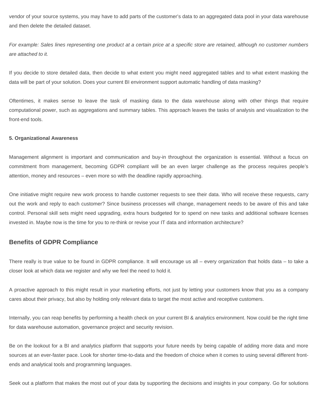vendor of your source systems, you may have to add parts of the customer's data to an aggregated data pool in your data warehouse and then delete the detailed dataset.

*For example: Sales lines representing one product at a certain price at a specific store are retained, although no customer numbers are attached to it.*

If you decide to store detailed data, then decide to what extent you might need aggregated tables and to what extent masking the data will be part of your solution. Does your current BI environment support automatic handling of data masking?

Oftentimes, it makes sense to leave the task of masking data to the data warehouse along with other things that require computational power, such as aggregations and summary tables. This approach leaves the tasks of analysis and visualization to the front-end tools.

#### **5. Organizational Awareness**

Management alignment is important and communication and buy-in throughout the organization is essential. Without a focus on commitment from management, becoming GDPR compliant will be an even larger challenge as the process requires people's attention, money and resources – even more so with the deadline rapidly approaching.

One initiative might require new work process to handle customer requests to see their data. Who will receive these requests, carry out the work and reply to each customer? Since business processes will change, management needs to be aware of this and take control. Personal skill sets might need upgrading, extra hours budgeted for to spend on new tasks and additional software licenses invested in. Maybe now is the time for you to re-think or revise your IT data and information architecture?

# **Benefits of GDPR Compliance**

There really is true value to be found in GDPR compliance. It will encourage us all – every organization that holds data – to take a closer look at which data we register and why we feel the need to hold it.

A proactive approach to this might result in your marketing efforts, not just by letting your customers know that you as a company cares about their privacy, but also by holding only relevant data to target the most active and receptive customers.

Internally, you can reap benefits by performing a health check on your current BI & analytics environment. Now could be the right time for data warehouse automation, governance project and security revision.

Be on the lookout for a BI and analytics platform that supports your future needs by being capable of adding more data and more sources at an ever-faster pace. Look for shorter time-to-data and the freedom of choice when it comes to using several different frontends and analytical tools and programming languages.

Seek out a platform that makes the most out of your data by supporting the decisions and insights in your company. Go for solutions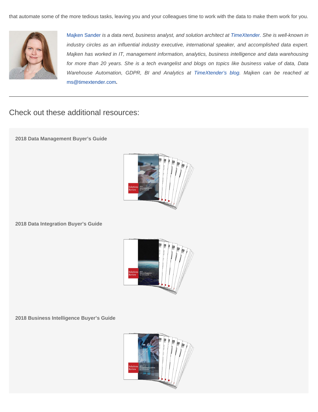

Majken Sander *is a data nerd, business analyst, and solution architect at TimeXtender. She is well-known in industry circles as an influential industry executive, international speaker, and accomplished data expert. Majken has worked in IT, management information, analytics, business intelligence and data warehousing for more than 20 years. She is a tech evangelist and blogs on topics like business value of data, Data Warehouse Automation, GDPR, BI and Analytics at TimeXtender's blog. Majken can be reached at* ms@timextender.com**.**

Check out these additional resources:

**2018 Data Management Buyer's Guide**



**2018 Data Integration Buyer's Guide**



**2018 Business Intelligence Buyer's Guide**

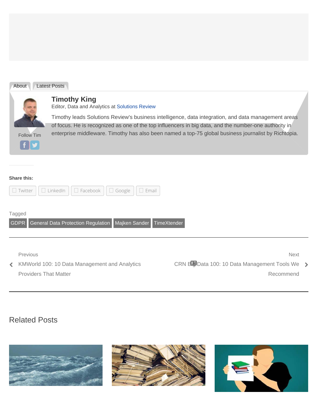| About      | Latest Posts                                                                                                                                                                                                                                                                                                         |
|------------|----------------------------------------------------------------------------------------------------------------------------------------------------------------------------------------------------------------------------------------------------------------------------------------------------------------------|
|            | <b>Timothy King</b><br>Editor, Data and Analytics at Solutions Review                                                                                                                                                                                                                                                |
| Follow Tim | Timothy leads Solutions Review's business intelligence, data integration, and data management areas<br>of focus. He is recognized as one of the top influencers in big data, and the number-one authority in<br>enterprise middleware. Timothy has also been named a top-75 global business journalist by Richtopia. |

# **Share this:**

|                                                                                           | Google<br>$\Box$ LinkedIn<br>$\Box$ Facebook<br>$\Box$ Email<br>$\Box$ Twitter            |                                                                             |  |  |  |
|-------------------------------------------------------------------------------------------|-------------------------------------------------------------------------------------------|-----------------------------------------------------------------------------|--|--|--|
| Tagged<br>General Data Protection Regulation   Majken Sander   TimeXtender<br><b>GDPR</b> |                                                                                           |                                                                             |  |  |  |
| $\left\langle \right\rangle$                                                              | Previous<br>KMWorld 100: 10 Data Management and Analytics<br><b>Providers That Matter</b> | <b>Next</b><br>CRN Big Data 100: 10 Data Management Tools We ><br>Recommend |  |  |  |

# Related Posts